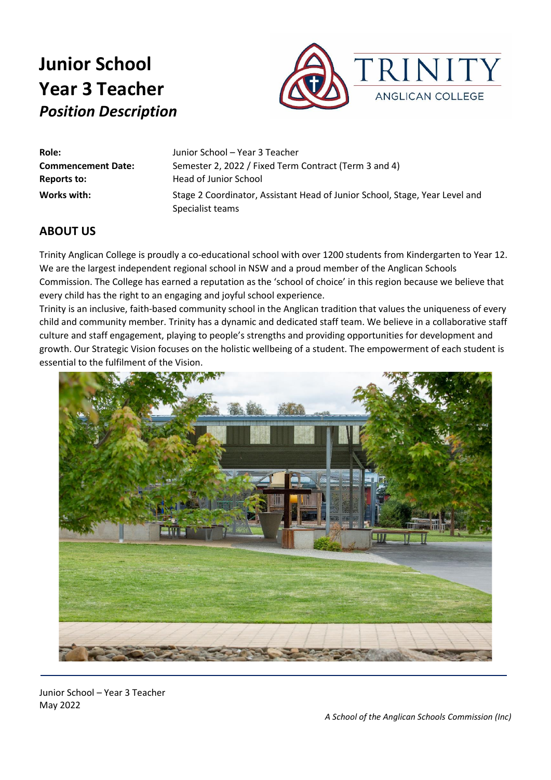

| Role:                     | Junior School - Year 3 Teacher                                              |
|---------------------------|-----------------------------------------------------------------------------|
| <b>Commencement Date:</b> | Semester 2, 2022 / Fixed Term Contract (Term 3 and 4)                       |
| Reports to:               | Head of Junior School                                                       |
| Works with:               | Stage 2 Coordinator, Assistant Head of Junior School, Stage, Year Level and |
|                           | Specialist teams                                                            |

### **ABOUT US**

Trinity Anglican College is proudly a co-educational school with over 1200 students from Kindergarten to Year 12. We are the largest independent regional school in NSW and a proud member of the Anglican Schools Commission. The College has earned a reputation as the 'school of choice' in this region because we believe that every child has the right to an engaging and joyful school experience.

Trinity is an inclusive, faith-based community school in the Anglican tradition that values the uniqueness of every child and community member. Trinity has a dynamic and dedicated staff team. We believe in a collaborative staff culture and staff engagement, playing to people's strengths and providing opportunities for development and growth. Our Strategic Vision focuses on the holistic wellbeing of a student. The empowerment of each student is essential to the fulfilment of the Vision.



Junior School – Year 3 Teacher May 2022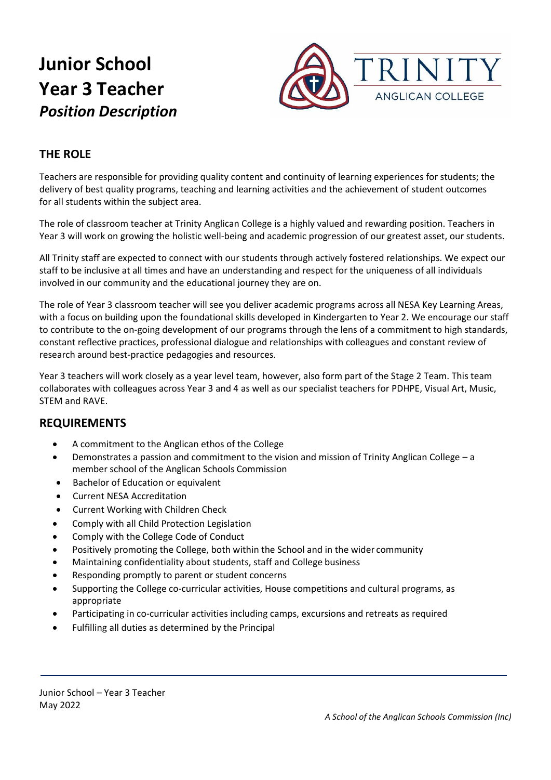

## **THE ROLE**

Teachers are responsible for providing quality content and continuity of learning experiences for students; the delivery of best quality programs, teaching and learning activities and the achievement of student outcomes for all students within the subject area.

The role of classroom teacher at Trinity Anglican College is a highly valued and rewarding position. Teachers in Year 3 will work on growing the holistic well-being and academic progression of our greatest asset, our students.

All Trinity staff are expected to connect with our students through actively fostered relationships. We expect our staff to be inclusive at all times and have an understanding and respect for the uniqueness of all individuals involved in our community and the educational journey they are on.

The role of Year 3 classroom teacher will see you deliver academic programs across all NESA Key Learning Areas, with a focus on building upon the foundational skills developed in Kindergarten to Year 2. We encourage our staff to contribute to the on-going development of our programs through the lens of a commitment to high standards, constant reflective practices, professional dialogue and relationships with colleagues and constant review of research around best-practice pedagogies and resources.

Year 3 teachers will work closely as a year level team, however, also form part of the Stage 2 Team. This team collaborates with colleagues across Year 3 and 4 as well as our specialist teachers for PDHPE, Visual Art, Music, STEM and RAVE.

### **REQUIREMENTS**

- A commitment to the Anglican ethos of the College
- Demonstrates a passion and commitment to the vision and mission of Trinity Anglican College a member school of the Anglican Schools Commission
- Bachelor of Education or equivalent
- Current NESA Accreditation
- Current Working with Children Check
- Comply with all Child Protection Legislation
- Comply with the College Code of Conduct
- Positively promoting the College, both within the School and in the wider community
- Maintaining confidentiality about students, staff and College business
- Responding promptly to parent or student concerns
- Supporting the College co-curricular activities, House competitions and cultural programs, as appropriate
- Participating in co-curricular activities including camps, excursions and retreats as required
- Fulfilling all duties as determined by the Principal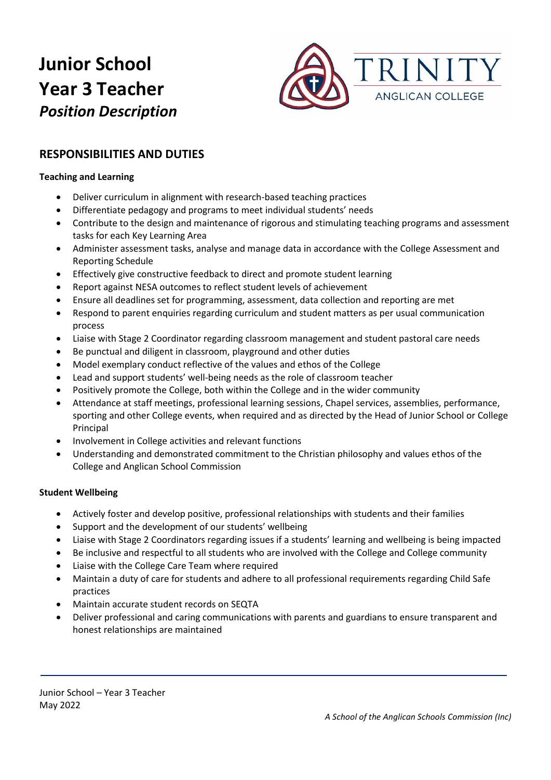

## **RESPONSIBILITIES AND DUTIES**

#### **Teaching and Learning**

- Deliver curriculum in alignment with research-based teaching practices
- Differentiate pedagogy and programs to meet individual students' needs
- Contribute to the design and maintenance of rigorous and stimulating teaching programs and assessment tasks for each Key Learning Area
- Administer assessment tasks, analyse and manage data in accordance with the College Assessment and Reporting Schedule
- Effectively give constructive feedback to direct and promote student learning
- Report against NESA outcomes to reflect student levels of achievement
- Ensure all deadlines set for programming, assessment, data collection and reporting are met
- Respond to parent enquiries regarding curriculum and student matters as per usual communication process
- Liaise with Stage 2 Coordinator regarding classroom management and student pastoral care needs
- Be punctual and diligent in classroom, playground and other duties
- Model exemplary conduct reflective of the values and ethos of the College
- Lead and support students' well-being needs as the role of classroom teacher
- Positively promote the College, both within the College and in the wider community
- Attendance at staff meetings, professional learning sessions, Chapel services, assemblies, performance, sporting and other College events, when required and as directed by the Head of Junior School or College Principal
- Involvement in College activities and relevant functions
- Understanding and demonstrated commitment to the Christian philosophy and values ethos of the College and Anglican School Commission

#### **Student Wellbeing**

- Actively foster and develop positive, professional relationships with students and their families
- Support and the development of our students' wellbeing
- Liaise with Stage 2 Coordinators regarding issues if a students' learning and wellbeing is being impacted
- Be inclusive and respectful to all students who are involved with the College and College community
- Liaise with the College Care Team where required
- Maintain a duty of care for students and adhere to all professional requirements regarding Child Safe practices
- Maintain accurate student records on SEQTA
- Deliver professional and caring communications with parents and guardians to ensure transparent and honest relationships are maintained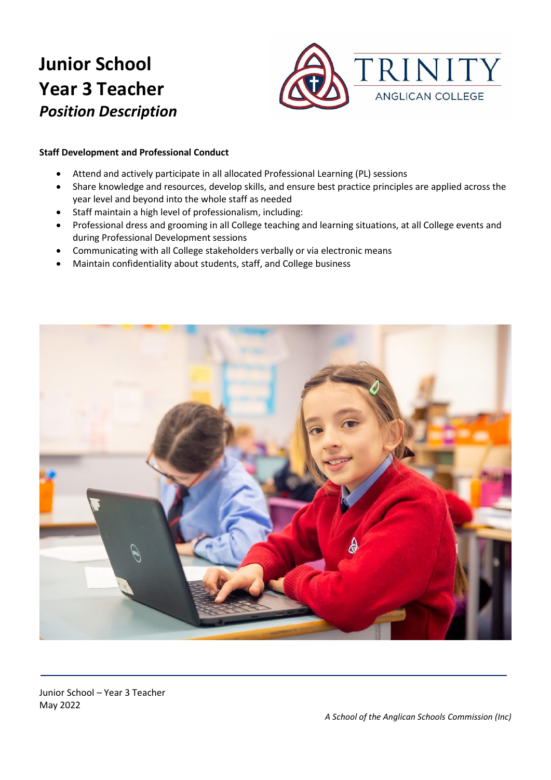

#### **Staff Development and Professional Conduct**

- Attend and actively participate in all allocated Professional Learning (PL) sessions
- Share knowledge and resources, develop skills, and ensure best practice principles are applied across the year level and beyond into the whole staff as needed
- Staff maintain a high level of professionalism, including:
- Professional dress and grooming in all College teaching and learning situations, at all College events and during Professional Development sessions
- Communicating with all College stakeholders verbally or via electronic means
- Maintain confidentiality about students, staff, and College business



Junior School – Year 3 Teacher May 2022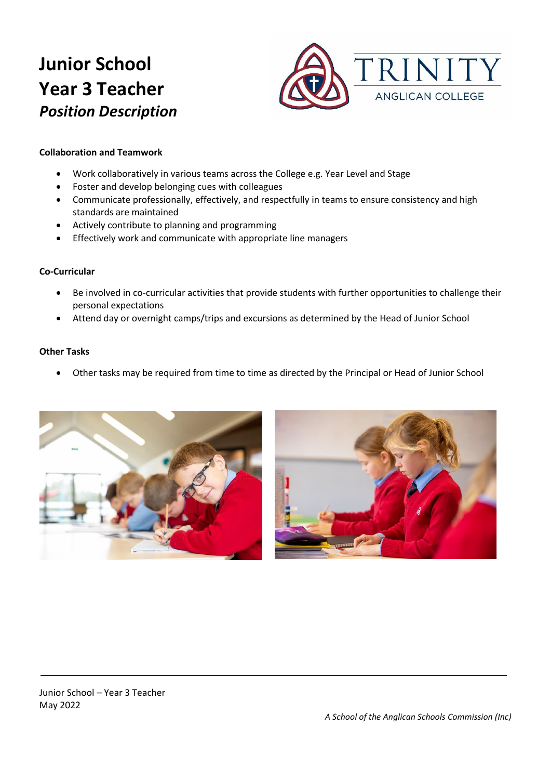

#### **Collaboration and Teamwork**

- Work collaboratively in various teams across the College e.g. Year Level and Stage
- Foster and develop belonging cues with colleagues
- Communicate professionally, effectively, and respectfully in teams to ensure consistency and high standards are maintained
- Actively contribute to planning and programming
- Effectively work and communicate with appropriate line managers

#### **Co-Curricular**

- Be involved in co-curricular activities that provide students with further opportunities to challenge their personal expectations
- Attend day or overnight camps/trips and excursions as determined by the Head of Junior School

#### **Other Tasks**

• Other tasks may be required from time to time as directed by the Principal or Head of Junior School